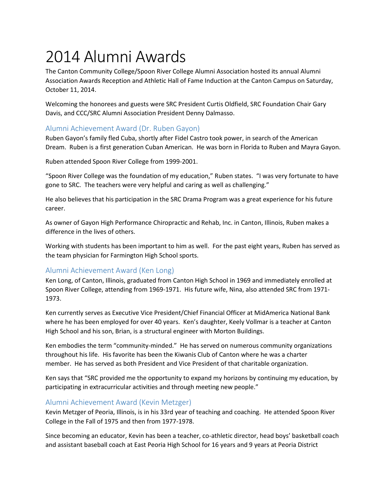# 2014 Alumni Awards

The Canton Community College/Spoon River College Alumni Association hosted its annual Alumni Association Awards Reception and Athletic Hall of Fame Induction at the Canton Campus on Saturday, October 11, 2014.

Welcoming the honorees and guests were SRC President Curtis Oldfield, SRC Foundation Chair Gary Davis, and CCC/SRC Alumni Association President Denny Dalmasso.

## Alumni Achievement Award (Dr. Ruben Gayon)

Ruben Gayon's family fled Cuba, shortly after Fidel Castro took power, in search of the American Dream. Ruben is a first generation Cuban American. He was born in Florida to Ruben and Mayra Gayon.

Ruben attended Spoon River College from 1999-2001.

"Spoon River College was the foundation of my education," Ruben states. "I was very fortunate to have gone to SRC. The teachers were very helpful and caring as well as challenging."

He also believes that his participation in the SRC Drama Program was a great experience for his future career.

As owner of Gayon High Performance Chiropractic and Rehab, Inc. in Canton, Illinois, Ruben makes a difference in the lives of others.

Working with students has been important to him as well. For the past eight years, Ruben has served as the team physician for Farmington High School sports.

#### Alumni Achievement Award (Ken Long)

Ken Long, of Canton, Illinois, graduated from Canton High School in 1969 and immediately enrolled at Spoon River College, attending from 1969-1971. His future wife, Nina, also attended SRC from 1971- 1973.

Ken currently serves as Executive Vice President/Chief Financial Officer at MidAmerica National Bank where he has been employed for over 40 years. Ken's daughter, Keely Vollmar is a teacher at Canton High School and his son, Brian, is a structural engineer with Morton Buildings.

Ken embodies the term "community-minded." He has served on numerous community organizations throughout his life. His favorite has been the Kiwanis Club of Canton where he was a charter member. He has served as both President and Vice President of that charitable organization.

Ken says that "SRC provided me the opportunity to expand my horizons by continuing my education, by participating in extracurricular activities and through meeting new people."

#### Alumni Achievement Award (Kevin Metzger)

Kevin Metzger of Peoria, Illinois, is in his 33rd year of teaching and coaching. He attended Spoon River College in the Fall of 1975 and then from 1977-1978.

Since becoming an educator, Kevin has been a teacher, co-athletic director, head boys' basketball coach and assistant baseball coach at East Peoria High School for 16 years and 9 years at Peoria District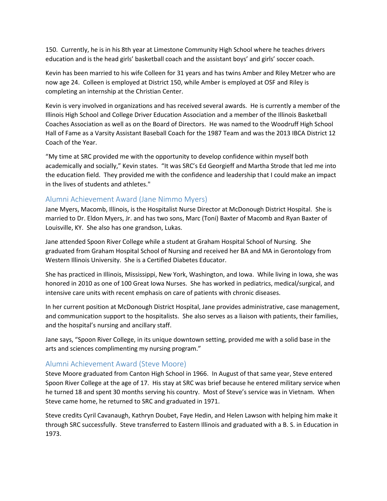150. Currently, he is in his 8th year at Limestone Community High School where he teaches drivers education and is the head girls' basketball coach and the assistant boys' and girls' soccer coach.

Kevin has been married to his wife Colleen for 31 years and has twins Amber and Riley Metzer who are now age 24. Colleen is employed at District 150, while Amber is employed at OSF and Riley is completing an internship at the Christian Center.

Kevin is very involved in organizations and has received several awards. He is currently a member of the Illinois High School and College Driver Education Association and a member of the Illinois Basketball Coaches Association as well as on the Board of Directors. He was named to the Woodruff High School Hall of Fame as a Varsity Assistant Baseball Coach for the 1987 Team and was the 2013 IBCA District 12 Coach of the Year.

"My time at SRC provided me with the opportunity to develop confidence within myself both academically and socially," Kevin states. "It was SRC's Ed Georgieff and Martha Strode that led me into the education field. They provided me with the confidence and leadership that I could make an impact in the lives of students and athletes."

#### Alumni Achievement Award (Jane Nimmo Myers)

Jane Myers, Macomb, Illinois, is the Hospitalist Nurse Director at McDonough District Hospital. She is married to Dr. Eldon Myers, Jr. and has two sons, Marc (Toni) Baxter of Macomb and Ryan Baxter of Louisville, KY. She also has one grandson, Lukas.

Jane attended Spoon River College while a student at Graham Hospital School of Nursing. She graduated from Graham Hospital School of Nursing and received her BA and MA in Gerontology from Western Illinois University. She is a Certified Diabetes Educator.

She has practiced in Illinois, Mississippi, New York, Washington, and Iowa. While living in Iowa, she was honored in 2010 as one of 100 Great Iowa Nurses. She has worked in pediatrics, medical/surgical, and intensive care units with recent emphasis on care of patients with chronic diseases.

In her current position at McDonough District Hospital, Jane provides administrative, case management, and communication support to the hospitalists. She also serves as a liaison with patients, their families, and the hospital's nursing and ancillary staff.

Jane says, "Spoon River College, in its unique downtown setting, provided me with a solid base in the arts and sciences complimenting my nursing program."

#### Alumni Achievement Award (Steve Moore)

Steve Moore graduated from Canton High School in 1966. In August of that same year, Steve entered Spoon River College at the age of 17. His stay at SRC was brief because he entered military service when he turned 18 and spent 30 months serving his country. Most of Steve's service was in Vietnam. When Steve came home, he returned to SRC and graduated in 1971.

Steve credits Cyril Cavanaugh, Kathryn Doubet, Faye Hedin, and Helen Lawson with helping him make it through SRC successfully. Steve transferred to Eastern Illinois and graduated with a B. S. in Education in 1973.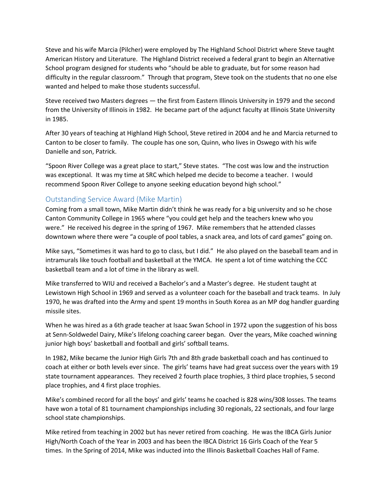Steve and his wife Marcia (Pilcher) were employed by The Highland School District where Steve taught American History and Literature. The Highland District received a federal grant to begin an Alternative School program designed for students who "should be able to graduate, but for some reason had difficulty in the regular classroom." Through that program, Steve took on the students that no one else wanted and helped to make those students successful.

Steve received two Masters degrees — the first from Eastern Illinois University in 1979 and the second from the University of Illinois in 1982. He became part of the adjunct faculty at Illinois State University in 1985.

After 30 years of teaching at Highland High School, Steve retired in 2004 and he and Marcia returned to Canton to be closer to family. The couple has one son, Quinn, who lives in Oswego with his wife Danielle and son, Patrick.

"Spoon River College was a great place to start," Steve states. "The cost was low and the instruction was exceptional. It was my time at SRC which helped me decide to become a teacher. I would recommend Spoon River College to anyone seeking education beyond high school."

#### Outstanding Service Award (Mike Martin)

Coming from a small town, Mike Martin didn't think he was ready for a big university and so he chose Canton Community College in 1965 where "you could get help and the teachers knew who you were." He received his degree in the spring of 1967. Mike remembers that he attended classes downtown where there were "a couple of pool tables, a snack area, and lots of card games" going on.

Mike says, "Sometimes it was hard to go to class, but I did." He also played on the baseball team and in intramurals like touch football and basketball at the YMCA. He spent a lot of time watching the CCC basketball team and a lot of time in the library as well.

Mike transferred to WIU and received a Bachelor's and a Master's degree. He student taught at Lewistown High School in 1969 and served as a volunteer coach for the baseball and track teams. In July 1970, he was drafted into the Army and spent 19 months in South Korea as an MP dog handler guarding missile sites.

When he was hired as a 6th grade teacher at Isaac Swan School in 1972 upon the suggestion of his boss at Senn-Soldwedel Dairy, Mike's lifelong coaching career began. Over the years, Mike coached winning junior high boys' basketball and football and girls' softball teams.

In 1982, Mike became the Junior High Girls 7th and 8th grade basketball coach and has continued to coach at either or both levels ever since. The girls' teams have had great success over the years with 19 state tournament appearances. They received 2 fourth place trophies, 3 third place trophies, 5 second place trophies, and 4 first place trophies.

Mike's combined record for all the boys' and girls' teams he coached is 828 wins/308 losses. The teams have won a total of 81 tournament championships including 30 regionals, 22 sectionals, and four large school state championships.

Mike retired from teaching in 2002 but has never retired from coaching. He was the IBCA Girls Junior High/North Coach of the Year in 2003 and has been the IBCA District 16 Girls Coach of the Year 5 times. In the Spring of 2014, Mike was inducted into the Illinois Basketball Coaches Hall of Fame.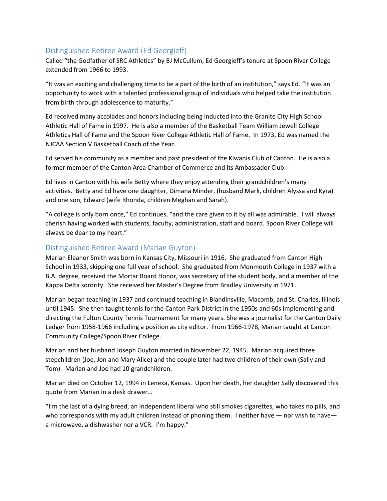## Distinguished Retiree Award (Ed Georgieff)

Called "the Godfather of SRC Athletics" by BJ McCullum, Ed Georgieff's tenure at Spoon River College extended from 1966 to 1993.

"It was an exciting and challenging time to be a part of the birth of an institution," says Ed. "It was an opportunity to work with a talented professional group of individuals who helped take the institution from birth through adolescence to maturity."

Ed received many accolades and honors including being inducted into the Granite City High School Athletic Hall of Fame in 1997. He is also a member of the Basketball Team William Jewell College Athletics Hall of Fame and the Spoon River College Athletic Hall of Fame. In 1973, Ed was named the NJCAA Section V Basketball Coach of the Year.

Ed served his community as a member and past president of the Kiwanis Club of Canton. He is also a former member of the Canton Area Chamber of Commerce and its Ambassador Club.

Ed lives in Canton with his wife Betty where they enjoy attending their grandchildren's many activities. Betty and Ed have one daughter, Dimana Minder, (husband Mark, children Alyssa and Kyra) and one son, Edward (wife Rhonda, children Meghan and Sarah).

"A college is only born once," Ed continues, "and the care given to it by all was admirable. I will always cherish having worked with students, faculty, administration, staff and board. Spoon River College will always be dear to my heart."

#### Distinguished Retiree Award (Marian Guyton)

Marian Eleanor Smith was born in Kansas City, Missouri in 1916. She graduated from Canton High School in 1933, skipping one full year of school. She graduated from Monmouth College in 1937 with a B.A. degree, received the Mortar Board Honor, was secretary of the student body, and a member of the Kappa Delta sorority. She received her Master's Degree from Bradley University in 1971.

Marian began teaching in 1937 and continued teaching in Blandinsville, Macomb, and St. Charles, Illinois until 1945. She then taught tennis for the Canton Park District in the 1950s and 60s implementing and directing the Fulton County Tennis Tournament for many years. She was a journalist for the Canton Daily Ledger from 1958-1966 including a position as city editor. From 1966-1978, Marian taught at Canton Community College/Spoon River College.

Marian and her husband Joseph Guyton married in November 22, 1945. Marian acquired three stepchildren (Joe, Jon and Mary Alice) and the couple later had two children of their own (Sally and Tom). Marian and Joe had 10 grandchildren.

Marian died on October 12, 1994 in Lenexa, Kansas. Upon her death, her daughter Sally discovered this quote from Marian in a desk drawer…

"I'm the last of a dying breed, an independent liberal who still smokes cigarettes, who takes no pills, and who corresponds with my adult children instead of phoning them. I neither have — nor wish to have a microwave, a dishwasher nor a VCR. I'm happy."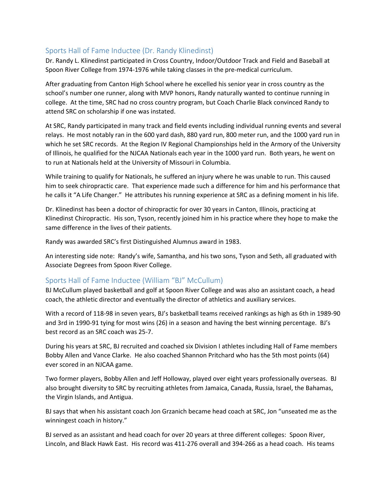## Sports Hall of Fame Inductee (Dr. Randy Klinedinst)

Dr. Randy L. Klinedinst participated in Cross Country, Indoor/Outdoor Track and Field and Baseball at Spoon River College from 1974-1976 while taking classes in the pre-medical curriculum.

After graduating from Canton High School where he excelled his senior year in cross country as the school's number one runner, along with MVP honors, Randy naturally wanted to continue running in college. At the time, SRC had no cross country program, but Coach Charlie Black convinced Randy to attend SRC on scholarship if one was instated.

At SRC, Randy participated in many track and field events including individual running events and several relays. He most notably ran in the 600 yard dash, 880 yard run, 800 meter run, and the 1000 yard run in which he set SRC records. At the Region IV Regional Championships held in the Armory of the University of Illinois, he qualified for the NJCAA Nationals each year in the 1000 yard run. Both years, he went on to run at Nationals held at the University of Missouri in Columbia.

While training to qualify for Nationals, he suffered an injury where he was unable to run. This caused him to seek chiropractic care. That experience made such a difference for him and his performance that he calls it "A Life Changer." He attributes his running experience at SRC as a defining moment in his life.

Dr. Klinedinst has been a doctor of chiropractic for over 30 years in Canton, Illinois, practicing at Klinedinst Chiropractic. His son, Tyson, recently joined him in his practice where they hope to make the same difference in the lives of their patients.

Randy was awarded SRC's first Distinguished Alumnus award in 1983.

An interesting side note: Randy's wife, Samantha, and his two sons, Tyson and Seth, all graduated with Associate Degrees from Spoon River College.

## Sports Hall of Fame Inductee (William "BJ" McCullum)

BJ McCullum played basketball and golf at Spoon River College and was also an assistant coach, a head coach, the athletic director and eventually the director of athletics and auxiliary services.

With a record of 118-98 in seven years, BJ's basketball teams received rankings as high as 6th in 1989-90 and 3rd in 1990-91 tying for most wins (26) in a season and having the best winning percentage. BJ's best record as an SRC coach was 25-7.

During his years at SRC, BJ recruited and coached six Division I athletes including Hall of Fame members Bobby Allen and Vance Clarke. He also coached Shannon Pritchard who has the 5th most points (64) ever scored in an NJCAA game.

Two former players, Bobby Allen and Jeff Holloway, played over eight years professionally overseas. BJ also brought diversity to SRC by recruiting athletes from Jamaica, Canada, Russia, Israel, the Bahamas, the Virgin Islands, and Antigua.

BJ says that when his assistant coach Jon Grzanich became head coach at SRC, Jon "unseated me as the winningest coach in history."

BJ served as an assistant and head coach for over 20 years at three different colleges: Spoon River, Lincoln, and Black Hawk East. His record was 411-276 overall and 394-266 as a head coach. His teams